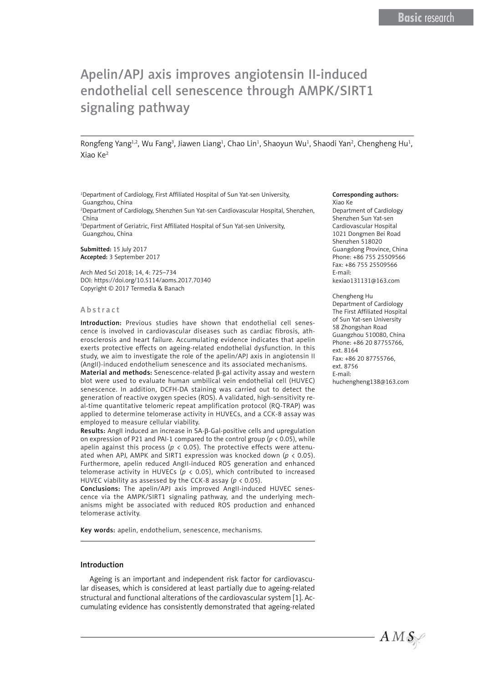# Apelin/APJ axis improves angiotensin II-induced endothelial cell senescence through AMPK/SIRT1 signaling pathway

Rongfeng Yang<sup>1,2</sup>, Wu Fang<sup>3</sup>, Jiawen Liang<sup>1</sup>, Chao Lin<sup>1</sup>, Shaoyun Wu<sup>1</sup>, Shaodi Yan<sup>2</sup>, Chengheng Hu<sup>1</sup>, Xiao Ke2

1 Department of Cardiology, First Affiliated Hospital of Sun Yat-sen University, Guangzhou, China

2 Department of Cardiology, Shenzhen Sun Yat-sen Cardiovascular Hospital, Shenzhen, China

3 Department of Geriatric, First Affiliated Hospital of Sun Yat-sen University, Guangzhou, China

Submitted: 15 July 2017 Accepted: 3 September 2017

Arch Med Sci 2018; 14, 4: 725–734 DOI: https://doi.org/10.5114/aoms.2017.70340 Copyright © 2017 Termedia & Banach

#### Abstract

Introduction: Previous studies have shown that endothelial cell senescence is involved in cardiovascular diseases such as cardiac fibrosis, atherosclerosis and heart failure. Accumulating evidence indicates that apelin exerts protective effects on ageing-related endothelial dysfunction. In this study, we aim to investigate the role of the apelin/APJ axis in angiotensin II (AngII)-induced endothelium senescence and its associated mechanisms.

Material and methods: Senescence-related β-gal activity assay and western blot were used to evaluate human umbilical vein endothelial cell (HUVEC) senescence. In addition, DCFH-DA staining was carried out to detect the generation of reactive oxygen species (ROS). A validated, high-sensitivity real-time quantitative telomeric repeat amplification protocol (RQ-TRAP) was applied to determine telomerase activity in HUVECs, and a CCK-8 assay was employed to measure cellular viability.

Results: AngII induced an increase in SA-β-Gal-positive cells and upregulation on expression of P21 and PAI-1 compared to the control group (*p* < 0.05), while apelin against this process ( $p < 0.05$ ). The protective effects were attenuated when APJ, AMPK and SIRT1 expression was knocked down (*p* < 0.05). Furthermore, apelin reduced AngII-induced ROS generation and enhanced telomerase activity in HUVECs ( $p < 0.05$ ), which contributed to increased HUVEC viability as assessed by the CCK-8 assay (*p* < 0.05).

Conclusions: The apelin/APJ axis improved AngII-induced HUVEC senescence via the AMPK/SIRT1 signaling pathway, and the underlying mechanisms might be associated with reduced ROS production and enhanced telomerase activity.

Key words: apelin, endothelium, senescence, mechanisms.

#### Introduction

Ageing is an important and independent risk factor for cardiovascular diseases, which is considered at least partially due to ageing-related structural and functional alterations of the cardiovascular system [1]. Accumulating evidence has consistently demonstrated that ageing-related

#### Corresponding authors:

Xiao Ke Department of Cardiology Shenzhen Sun Yat-sen Cardiovascular Hospital 1021 Dongmen Bei Road Shenzhen 518020 Guangdong Province, China Phone: +86 755 25509566 Fax: +86 755 25509566 E-mail: kexiao131131@163.com

#### Chengheng Hu

Department of Cardiology The First Affiliated Hospital of Sun Yat-sen University 58 Zhongshan Road Guangzhou 510080, China Phone: +86 20 87755766, ext. 8164 Fax: +86 20 87755766, ext. 8756 E-mail: huchengheng138@163.com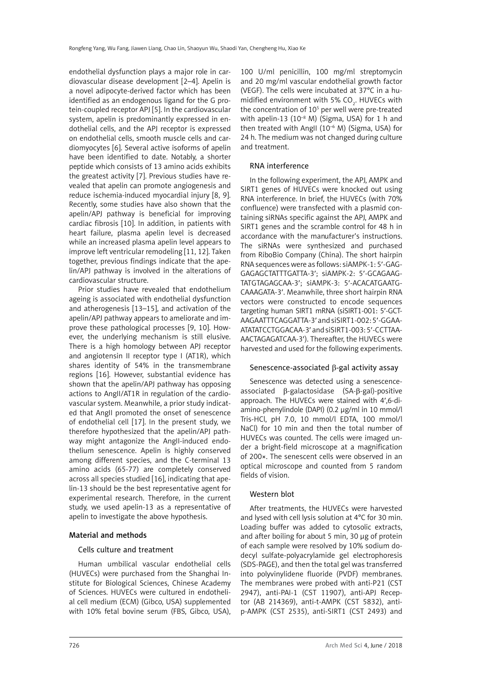endothelial dysfunction plays a major role in cardiovascular disease development [2–4]. Apelin is a novel adipocyte-derived factor which has been identified as an endogenous ligand for the G protein-coupled receptor APJ [5]. In the cardiovascular system, apelin is predominantly expressed in endothelial cells, and the APJ receptor is expressed on endothelial cells, smooth muscle cells and cardiomyocytes [6]. Several active isoforms of apelin have been identified to date. Notably, a shorter peptide which consists of 13 amino acids exhibits the greatest activity [7]. Previous studies have revealed that apelin can promote angiogenesis and reduce ischemia-induced myocardial injury [8, 9]. Recently, some studies have also shown that the apelin/APJ pathway is beneficial for improving cardiac fibrosis [10]. In addition, in patients with heart failure, plasma apelin level is decreased while an increased plasma apelin level appears to improve left ventricular remodeling [11, 12]. Taken together, previous findings indicate that the apelin/APJ pathway is involved in the alterations of cardiovascular structure.

Prior studies have revealed that endothelium ageing is associated with endothelial dysfunction and atherogenesis [13–15], and activation of the apelin/APJ pathway appears to ameliorate and improve these pathological processes [9, 10]. However, the underlying mechanism is still elusive. There is a high homology between APJ receptor and angiotensin II receptor type I (AT1R), which shares identity of 54% in the transmembrane regions [16]. However, substantial evidence has shown that the apelin/APJ pathway has opposing actions to AngII/AT1R in regulation of the cardiovascular system. Meanwhile, a prior study indicated that AngII promoted the onset of senescence of endothelial cell [17]. In the present study, we therefore hypothesized that the apelin/APJ pathway might antagonize the AngII-induced endothelium senescence. Apelin is highly conserved among different species, and the C-terminal 13 amino acids (65−77) are completely conserved across all species studied [16], indicating that apelin-13 should be the best representative agent for experimental research. Therefore, in the current study, we used apelin-13 as a representative of apelin to investigate the above hypothesis.

# Material and methods

#### Cells culture and treatment

Human umbilical vascular endothelial cells (HUVECs) were purchased from the Shanghai Institute for Biological Sciences, Chinese Academy of Sciences. HUVECs were cultured in endothelial cell medium (ECM) (Gibco, USA) supplemented with 10% fetal bovine serum (FBS, Gibco, USA),

100 U/ml penicillin, 100 mg/ml streptomycin and 20 mg/ml vascular endothelial growth factor (VEGF). The cells were incubated at 37°C in a humidified environment with 5%  $CO_{2}$ . HUVECs with the concentration of 10<sup>5</sup> per well were pre-treated with apelin-13 (10 $-8$  M) (Sigma, USA) for 1 h and then treated with AngII ( $10^{-6}$  M) (Sigma, USA) for 24 h. The medium was not changed during culture and treatment.

#### RNA interference

In the following experiment, the APJ, AMPK and SIRT1 genes of HUVECs were knocked out using RNA interference. In brief, the HUVECs (with 70% confluence) were transfected with a plasmid containing siRNAs specific against the APJ, AMPK and SIRT1 genes and the scramble control for 48 h in accordance with the manufacturer's instructions. The siRNAs were synthesized and purchased from RiboBio Company (China). The short hairpin RNA sequences were as follows: siAMPK-1: 5′-GAG-GAGAGCTATTTGATTA-3′; siAMPK-2: 5′-GCAGAAG-TATGTAGAGCAA-3′; siAMPK-3: 5′-ACACATGAATG-CAAAGATA-3′. Meanwhile, three short hairpin RNA vectors were constructed to encode sequences targeting human SIRT1 mRNA (siSIRT1-001: 5′-GCT-AAGAATTTCAGGATTA-3′ and siSIRT1-002: 5′-GGAA-ATATATCCTGGACAA-3′ and siSIRT1-003: 5′-CCTTAA-AACTAGAGATCAA-3′). Thereafter, the HUVECs were harvested and used for the following experiments.

#### Senescence-associated β-gal activity assay

Senescence was detected using a senescenceassociated β-galactosidase (SA-β-gal)-positive approach. The HUVECs were stained with 4′,6-diamino-phenylindole (DAPI) (0.2 μg/ml in 10 mmol/l Tris-HCl, pH 7.0, 10 mmol/l EDTA, 100 mmol/l NaCl) for 10 min and then the total number of HUVECs was counted. The cells were imaged under a bright-field microscope at a magnification of 200×. The senescent cells were observed in an optical microscope and counted from 5 random fields of vision.

#### Western blot

After treatments, the HUVECs were harvested and lysed with cell lysis solution at 4°C for 30 min. Loading buffer was added to cytosolic extracts, and after boiling for about 5 min, 30 μg of protein of each sample were resolved by 10% sodium dodecyl sulfate-polyacrylamide gel electrophoresis (SDS-PAGE), and then the total gel was transferred into polyvinylidene fluoride (PVDF) membranes. The membranes were probed with anti-P21 (CST 2947), anti-PAI-1 (CST 11907), anti-APJ Receptor (AB 214369), anti-t-AMPK (CST 5832), antip-AMPK (CST 2535), anti-SIRT1 (CST 2493) and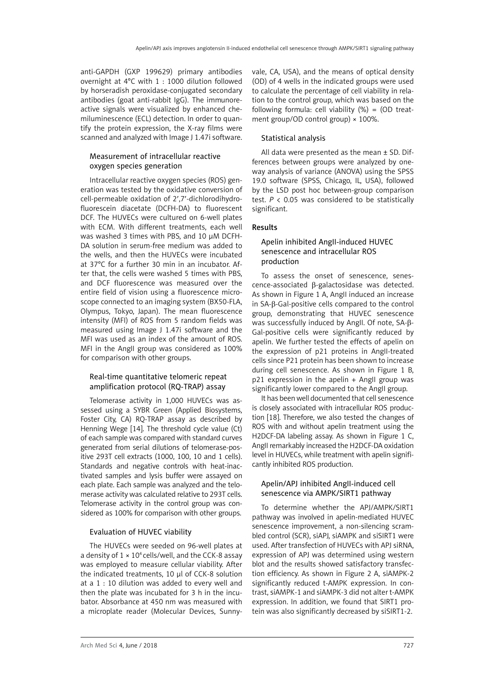anti-GAPDH (GXP 199629) primary antibodies overnight at 4°C with 1 : 1000 dilution followed by horseradish peroxidase-conjugated secondary antibodies (goat anti-rabbit IgG). The immunoreactive signals were visualized by enhanced chemiluminescence (ECL) detection. In order to quantify the protein expression, the X-ray films were scanned and analyzed with Image J 1.47i software.

#### Measurement of intracellular reactive oxygen species generation

Intracellular reactive oxygen species (ROS) generation was tested by the oxidative conversion of cell-permeable oxidation of 2′,7′-dichlorodihydrofluorescein diacetate (DCFH-DA) to fluorescent DCF. The HUVECs were cultured on 6-well plates with ECM. With different treatments, each well was washed 3 times with PBS, and 10 μM DCFH-DA solution in serum-free medium was added to the wells, and then the HUVECs were incubated at 37°C for a further 30 min in an incubator. After that, the cells were washed 5 times with PBS, and DCF fluorescence was measured over the entire field of vision using a fluorescence microscope connected to an imaging system (BX50-FLA, Olympus, Tokyo, Japan). The mean fluorescence intensity (MFI) of ROS from 5 random fields was measured using Image J 1.47i software and the MFI was used as an index of the amount of ROS. MFI in the AngII group was considered as 100% for comparison with other groups.

#### Real-time quantitative telomeric repeat amplification protocol (RQ-TRAP) assay

Telomerase activity in 1,000 HUVECs was assessed using a SYBR Green (Applied Biosystems, Foster City, CA) RQ-TRAP assay as described by Henning Wege [14]. The threshold cycle value (Ct) of each sample was compared with standard curves generated from serial dilutions of telomerase-positive 293T cell extracts (1000, 100, 10 and 1 cells). Standards and negative controls with heat-inactivated samples and lysis buffer were assayed on each plate. Each sample was analyzed and the telomerase activity was calculated relative to 293T cells. Telomerase activity in the control group was considered as 100% for comparison with other groups.

#### Evaluation of HUVEC viability

The HUVECs were seeded on 96-well plates at a density of  $1 \times 10^4$  cells/well, and the CCK-8 assay was employed to measure cellular viability. After the indicated treatments, 10 μl of CCK-8 solution at a 1 : 10 dilution was added to every well and then the plate was incubated for 3 h in the incubator. Absorbance at 450 nm was measured with a microplate reader (Molecular Devices, Sunnyvale, CA, USA), and the means of optical density (OD) of 4 wells in the indicated groups were used to calculate the percentage of cell viability in relation to the control group, which was based on the following formula: cell viability  $(\%) = (OD \text{ treat}$ ment group/OD control group) × 100%.

#### Statistical analysis

All data were presented as the mean  $\pm$  SD. Differences between groups were analyzed by oneway analysis of variance (ANOVA) using the SPSS 19.0 software (SPSS, Chicago, IL, USA), followed by the LSD post hoc between-group comparison test. *P* < 0.05 was considered to be statistically significant.

#### Results

### Apelin inhibited AngII-induced HUVEC senescence and intracellular ROS production

To assess the onset of senescence, senescence-associated β-galactosidase was detected. As shown in Figure 1 A, AngII induced an increase in SA-β-Gal-positive cells compared to the control group, demonstrating that HUVEC senescence was successfully induced by AngII. Of note, SA-β-Gal-positive cells were significantly reduced by apelin. We further tested the effects of apelin on the expression of p21 proteins in AngII-treated cells since P21 protein has been shown to increase during cell senescence. As shown in Figure 1 B,  $p21$  expression in the apelin + AngII group was significantly lower compared to the AngII group.

It has been well documented that cell senescence is closely associated with intracellular ROS production [18]. Therefore, we also tested the changes of ROS with and without apelin treatment using the H2DCF-DA labeling assay. As shown in Figure 1 C, AngII remarkably increased the H2DCF-DA oxidation level in HUVECs, while treatment with apelin significantly inhibited ROS production.

#### Apelin/APJ inhibited AngII-induced cell senescence via AMPK/SIRT1 pathway

To determine whether the APJ/AMPK/SIRT1 pathway was involved in apelin-mediated HUVEC senescence improvement, a non-silencing scrambled control (SCR), siAPJ, siAMPK and siSIRT1 were used. After transfection of HUVECs with APJ siRNA, expression of APJ was determined using western blot and the results showed satisfactory transfection efficiency. As shown in Figure 2 A, siAMPK-2 significantly reduced t-AMPK expression. In contrast, siAMPK-1 and siAMPK-3 did not alter t-AMPK expression. In addition, we found that SIRT1 protein was also significantly decreased by siSIRT1-2.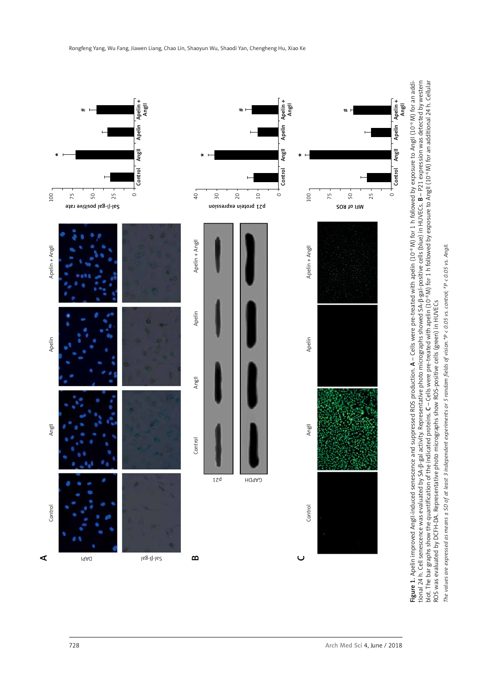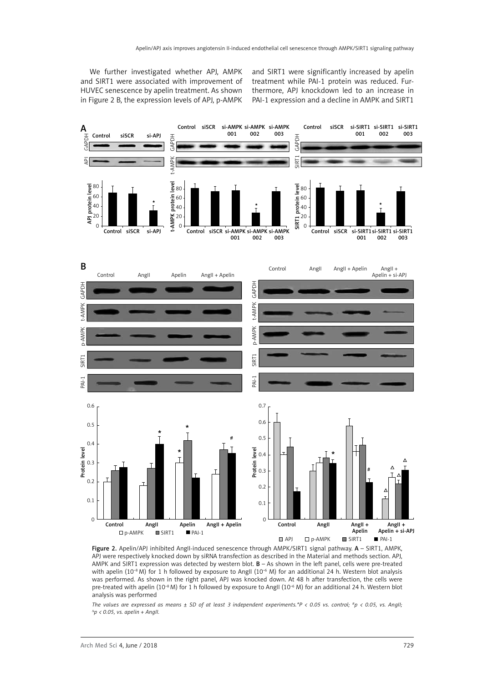We further investigated whether APJ, AMPK and SIRT1 were associated with improvement of HUVEC senescence by apelin treatment. As shown in Figure 2 B, the expression levels of APJ, p-AMPK and SIRT1 were significantly increased by apelin treatment while PAI-1 protein was reduced. Furthermore, APJ knockdown led to an increase in PAI-1 expression and a decline in AMPK and SIRT1



Figure 2. Apelin/APJ inhibited AngII-induced senescence through AMPK/SIRT1 signal pathway. A - SIRT1, AMPK, APJ were respectively knocked down by siRNA transfection as described in the Material and methods section. APJ, AMPK and SIRT1 expression was detected by western blot.  $B - As$  shown in the left panel, cells were pre-treated with apelin (10<sup>-8</sup> M) for 1 h followed by exposure to AngII (10<sup>-6</sup> M) for an additional 24 h. Western blot analysis was performed. As shown in the right panel, APJ was knocked down. At 48 h after transfection, the cells were pre-treated with apelin (10<sup>-8</sup> M) for 1 h followed by exposure to AngII (10<sup>-6</sup> M) for an additional 24 h. Western blot analysis was performed

*The values are expressed as means ± SD of at least 3 independent experiments.\*P < 0.05 vs. control; #p < 0.05, vs. AngII;*  $\Delta p$  < 0.05, vs. apelin + AngII.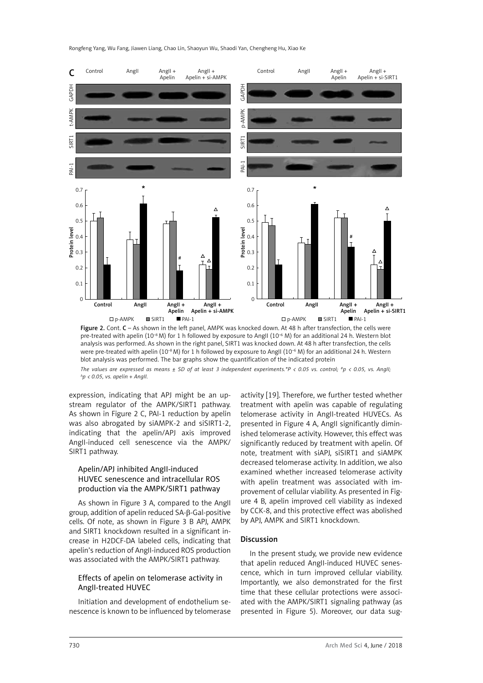Rongfeng Yang, Wu Fang, Jiawen Liang, Chao Lin, Shaoyun Wu, Shaodi Yan, Chengheng Hu, Xiao Ke



Figure 2. Cont. C – As shown in the left panel. AMPK was knocked down. At 48 h after transfection, the cells were pre-treated with apelin (10<sup>-8</sup> M) for 1 h followed by exposure to AngII (10<sup>-6</sup> M) for an additional 24 h. Western blot analysis was performed. As shown in the right panel, SIRT1 was knocked down. At 48 h after transfection, the cells were pre-treated with apelin (10<sup>-8</sup> M) for 1 h followed by exposure to AngII (10<sup>-6</sup> M) for an additional 24 h. Western blot analysis was performed. The bar graphs show the quantification of the indicated protein *The values are expressed as means ± SD of at least 3 independent experiments.\*P < 0.05 vs. control; #p < 0.05, vs. AngII;*  $\Delta p$  < 0.05, vs. apelin + AngII.

expression, indicating that APJ might be an upstream regulator of the AMPK/SIRT1 pathway. As shown in Figure 2 C, PAI-1 reduction by apelin was also abrogated by siAMPK-2 and siSIRT1-2, indicating that the apelin/APJ axis improved AngII-induced cell senescence via the AMPK/ SIRT1 pathway.

# Apelin/APJ inhibited AngII-induced HUVEC senescence and intracellular ROS production via the AMPK/SIRT1 pathway

As shown in Figure 3 A, compared to the AngII group, addition of apelin reduced SA-β-Gal-positive cells. Of note, as shown in Figure 3 B APJ, AMPK and SIRT1 knockdown resulted in a significant increase in H2DCF-DA labeled cells, indicating that apelin's reduction of AngII-induced ROS production was associated with the AMPK/SIRT1 pathway.

# Effects of apelin on telomerase activity in AngII-treated HUVEC

Initiation and development of endothelium senescence is known to be influenced by telomerase

activity [19]. Therefore, we further tested whether treatment with apelin was capable of regulating telomerase activity in AngII-treated HUVECs. As presented in Figure 4 A, AngII significantly diminished telomerase activity. However, this effect was significantly reduced by treatment with apelin. Of note, treatment with siAPJ, siSIRT1 and siAMPK decreased telomerase activity. In addition, we also examined whether increased telomerase activity with apelin treatment was associated with improvement of cellular viability. As presented in Figure 4 B, apelin improved cell viability as indexed by CCK-8, and this protective effect was abolished by APJ, AMPK and SIRT1 knockdown.

# **Discussion**

In the present study, we provide new evidence that apelin reduced AngII-induced HUVEC senescence, which in turn improved cellular viability. Importantly, we also demonstrated for the first time that these cellular protections were associated with the AMPK/SIRT1 signaling pathway (as presented in Figure 5). Moreover, our data sug-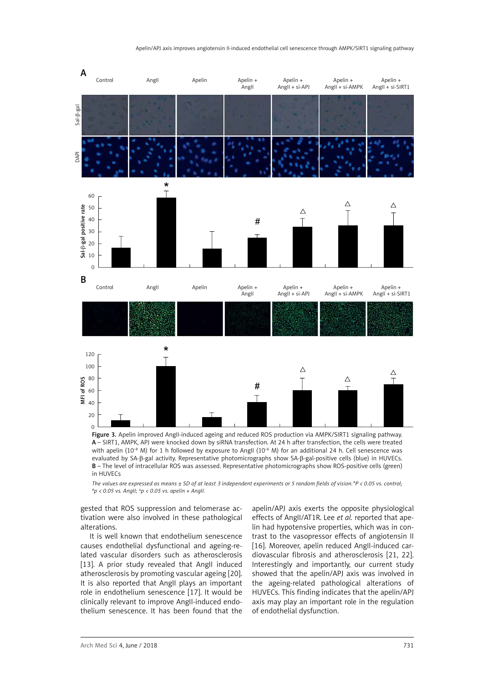

A – SIRT1, AMPK, APJ were knocked down by siRNA transfection. At 24 h after transfection, the cells were treated with apelin (10<sup>-8</sup> M) for 1 h followed by exposure to AngII (10<sup>-6</sup> M) for an additional 24 h. Cell senescence was evaluated by SA-β-gal activity. Representative photomicrographs show SA-β-gal-positive cells (blue) in HUVECs. B – The level of intracellular ROS was assessed. Representative photomicrographs show ROS-positive cells (green) in HUVECs

*The values are expressed as means + SD of at least 3 independent experiments or 5 random fields of vision \*P < 0.05 vs. control; #p < 0.05 vs. AngII;* <sup>D</sup>*p < 0.05 vs. apelin + AngII.*

gested that ROS suppression and telomerase activation were also involved in these pathological alterations.

It is well known that endothelium senescence causes endothelial dysfunctional and ageing-related vascular disorders such as atherosclerosis [13]. A prior study revealed that AngII induced atherosclerosis by promoting vascular ageing [20]. It is also reported that AngII plays an important role in endothelium senescence [17]. It would be clinically relevant to improve AngII-induced endothelium senescence. It has been found that the apelin/APJ axis exerts the opposite physiological effects of AngII/AT1R. Lee *et al.* reported that apelin had hypotensive properties, which was in contrast to the vasopressor effects of angiotensin II [16]. Moreover, apelin reduced AngII-induced cardiovascular fibrosis and atherosclerosis [21, 22]. Interestingly and importantly, our current study showed that the apelin/APJ axis was involved in the ageing-related pathological alterations of HUVECs. This finding indicates that the apelin/APJ axis may play an important role in the regulation of endothelial dysfunction.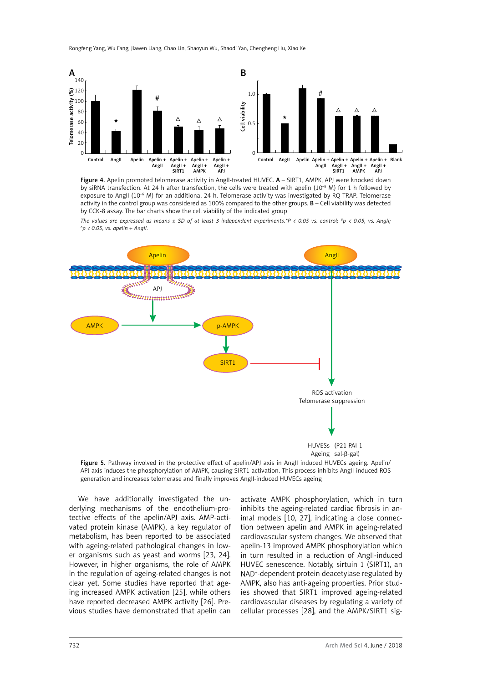

Figure 4. Apelin promoted telomerase activity in AngII-treated HUVEC. A - SIRT1, AMPK, APJ were knocked down by siRNA transfection. At 24 h after transfection, the cells were treated with apelin ( $10^{-8}$  M) for 1 h followed by exposure to AngII (10<sup>-6</sup> M) for an additional 24 h. Telomerase activity was investigated by RQ-TRAP. Telomerase activity in the control group was considered as 100% compared to the other groups.  $B -$ Cell viability was detected by CCK-8 assay. The bar charts show the cell viability of the indicated group

*The values are expressed as means ± SD of at least 3 independent experiments.\*P < 0.05 vs. control; #p < 0.05, vs. AngII;*  $\Delta p$  < 0.05, vs. apelin + Angll.



Figure 5. Pathway involved in the protective effect of apelin/APJ axis in AngII induced HUVECs ageing. Apelin/ APJ axis induces the phosphorylation of AMPK, causing SIRT1 activation. This process inhibits AngII-induced ROS generation and increases telomerase and finally improves AngII-induced HUVECs ageing

We have additionally investigated the underlying mechanisms of the endothelium-protective effects of the apelin/APJ axis. AMP-activated protein kinase (AMPK), a key regulator of metabolism, has been reported to be associated with ageing-related pathological changes in lower organisms such as yeast and worms [23, 24]. However, in higher organisms, the role of AMPK in the regulation of ageing-related changes is not clear yet. Some studies have reported that ageing increased AMPK activation [25], while others have reported decreased AMPK activity [26]. Previous studies have demonstrated that apelin can

activate AMPK phosphorylation, which in turn inhibits the ageing-related cardiac fibrosis in animal models [10, 27], indicating a close connection between apelin and AMPK in ageing-related cardiovascular system changes. We observed that apelin-13 improved AMPK phosphorylation which in turn resulted in a reduction of AngII-induced HUVEC senescence. Notably, sirtuin 1 (SIRT1), an NAD+ -dependent protein deacetylase regulated by AMPK, also has anti-ageing properties. Prior studies showed that SIRT1 improved ageing-related cardiovascular diseases by regulating a variety of cellular processes [28], and the AMPK/SIRT1 sig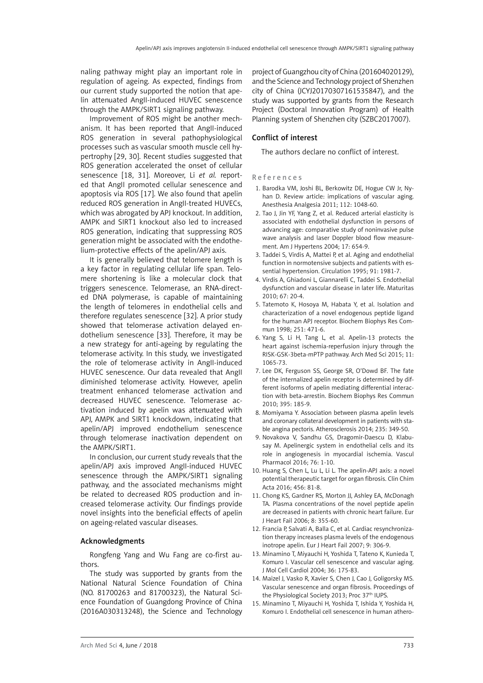naling pathway might play an important role in regulation of ageing. As expected, findings from our current study supported the notion that apelin attenuated AngII-induced HUVEC senescence through the AMPK/SIRT1 signaling pathway.

Improvement of ROS might be another mechanism. It has been reported that AngII-induced ROS generation in several pathophysiological processes such as vascular smooth muscle cell hypertrophy [29, 30]. Recent studies suggested that ROS generation accelerated the onset of cellular senescence [18, 31]. Moreover, Li *et al.* reported that AngII promoted cellular senescence and apoptosis via ROS [17]. We also found that apelin reduced ROS generation in AngII-treated HUVECs, which was abrogated by APJ knockout. In addition, AMPK and SIRT1 knockout also led to increased ROS generation, indicating that suppressing ROS generation might be associated with the endothelium-protective effects of the apelin/APJ axis.

It is generally believed that telomere length is a key factor in regulating cellular life span. Telomere shortening is like a molecular clock that triggers senescence. Telomerase, an RNA-directed DNA polymerase, is capable of maintaining the length of telomeres in endothelial cells and therefore regulates senescence [32]. A prior study showed that telomerase activation delayed endothelium senescence [33]. Therefore, it may be a new strategy for anti-ageing by regulating the telomerase activity. In this study, we investigated the role of telomerase activity in AngII-induced HUVEC senescence. Our data revealed that AngII diminished telomerase activity. However, apelin treatment enhanced telomerase activation and decreased HUVEC senescence. Telomerase activation induced by apelin was attenuated with APJ, AMPK and SIRT1 knockdown, indicating that apelin/APJ improved endothelium senescence through telomerase inactivation dependent on the AMPK/SIRT1.

In conclusion, our current study reveals that the apelin/APJ axis improved AngII-induced HUVEC senescence through the AMPK/SIRT1 signaling pathway, and the associated mechanisms might be related to decreased ROS production and increased telomerase activity. Our findings provide novel insights into the beneficial effects of apelin on ageing-related vascular diseases.

#### Acknowledgments

Rongfeng Yang and Wu Fang are co-first authors.

The study was supported by grants from the National Natural Science Foundation of China (NO. 81700263 and 81700323), the Natural Science Foundation of Guangdong Province of China (2016A030313248), the Science and Technology

project of Guangzhou city of China (201604020129), and the Science and Technology project of Shenzhen city of China (JCYJ20170307161535847), and the study was supported by grants from the Research Project (Doctoral Innovation Program) of Health Planning system of Shenzhen city (SZBC2017007).

#### Conflict of interest

The authors declare no conflict of interest.

#### References

- 1. Barodka VM, Joshi BL, Berkowitz DE, Hogue CW Jr, Nyhan D. Review article: implications of vascular aging. Anesthesia Analgesia 2011; 112: 1048-60.
- 2. Tao J, Jin YF, Yang Z, et al. Reduced arterial elasticity is associated with endothelial dysfunction in persons of advancing age: comparative study of noninvasive pulse wave analysis and laser Doppler blood flow measurement. Am J Hypertens 2004; 17: 654-9.
- 3. Taddei S, Virdis A, Mattei P, et al. Aging and endothelial function in normotensive subjects and patients with essential hypertension. Circulation 1995; 91: 1981-7.
- 4. Virdis A, Ghiadoni L, Giannarelli C, Taddei S. Endothelial dysfunction and vascular disease in later life. Maturitas 2010; 67: 20-4.
- 5. Tatemoto K, Hosoya M, Habata Y, et al. Isolation and characterization of a novel endogenous peptide ligand for the human APJ receptor. Biochem Biophys Res Commun 1998; 251: 471-6.
- 6. Yang S, Li H, Tang L, et al. Apelin-13 protects the heart against ischemia-reperfusion injury through the RISK-GSK-3beta-mPTP pathway. Arch Med Sci 2015; 11: 1065-73.
- 7. Lee DK, Ferguson SS, George SR, O'Dowd BF. The fate of the internalized apelin receptor is determined by different isoforms of apelin mediating differential interaction with beta-arrestin. Biochem Biophys Res Commun 2010; 395: 185-9.
- 8. Momiyama Y. Association between plasma apelin levels and coronary collateral development in patients with stable angina pectoris. Atherosclerosis 2014; 235: 349-50.
- 9. Novakova V, Sandhu GS, Dragomir-Daescu D, Klabusay M. Apelinergic system in endothelial cells and its role in angiogenesis in myocardial ischemia. Vascul Pharmacol 2016; 76: 1-10.
- 10. Huang S, Chen L, Lu L, Li L. The apelin-APJ axis: a novel potential therapeutic target for organ fibrosis. Clin Chim Acta 2016; 456: 81-8.
- 11. Chong KS, Gardner RS, Morton JJ, Ashley EA, McDonagh TA. Plasma concentrations of the novel peptide apelin are decreased in patients with chronic heart failure. Eur J Heart Fail 2006; 8: 355-60.
- 12. Francia P, Salvati A, Balla C, et al. Cardiac resynchronization therapy increases plasma levels of the endogenous inotrope apelin. Eur J Heart Fail 2007; 9: 306-9.
- 13. Minamino T, Miyauchi H, Yoshida T, Tateno K, Kunieda T, Komuro I. Vascular cell senescence and vascular aging. J Mol Cell Cardiol 2004; 36: 175-83.
- 14. Maizel J, Vasko R, Xavier S, Chen J, Cao J, Goligorsky MS. Vascular senescence and organ fibrosis. Proceedings of the Physiological Society 2013; Proc 37<sup>th</sup> IUPS.
- 15. Minamino T, Miyauchi H, Yoshida T, Ishida Y, Yoshida H, Komuro I. Endothelial cell senescence in human athero-